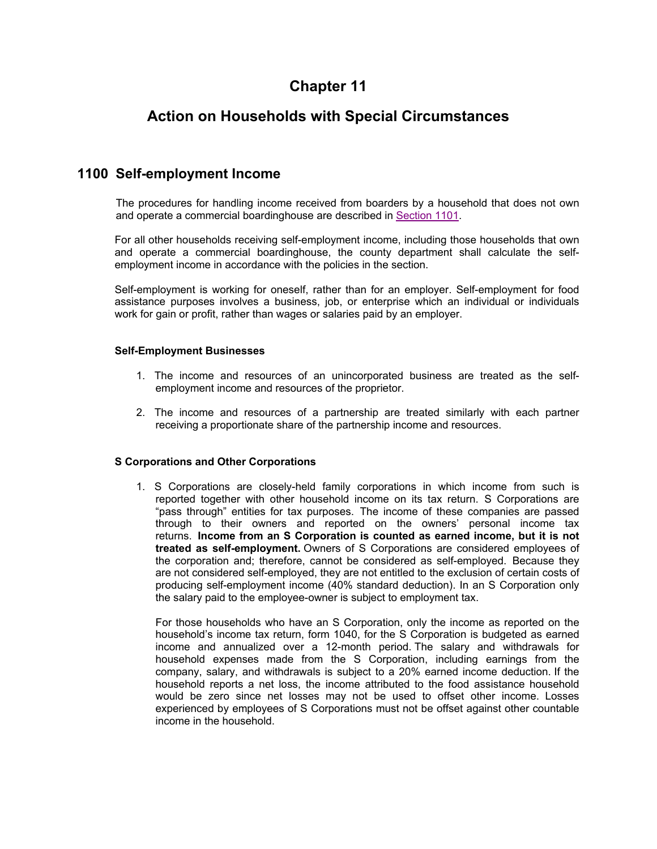# **Chapter 11**

# **Action on Households with Special Circumstances**

## **1100 Self-employment Income**

The procedures for handling income received from boarders by a household that does not own and operate a commercial boardinghouse are described in Section 1101.

For all other households receiving self-employment income, including those households that own and operate a commercial boardinghouse, the county department shall calculate the selfemployment income in accordance with the policies in the section.

Self-employment is working for oneself, rather than for an employer. Self-employment for food assistance purposes involves a business, job, or enterprise which an individual or individuals work for gain or profit, rather than wages or salaries paid by an employer.

### **Self-Employment Businesses**

- 1. The income and resources of an unincorporated business are treated as the selfemployment income and resources of the proprietor.
- 2. The income and resources of a partnership are treated similarly with each partner receiving a proportionate share of the partnership income and resources.

### **S Corporations and Other Corporations**

1. S Corporations are closely-held family corporations in which income from such is reported together with other household income on its tax return. S Corporations are "pass through" entities for tax purposes. The income of these companies are passed through to their owners and reported on the owners' personal income tax returns. **Income from an S Corporation is counted as earned income, but it is not treated as self-employment.** Owners of S Corporations are considered employees of the corporation and; therefore, cannot be considered as self-employed. Because they are not considered self-employed, they are not entitled to the exclusion of certain costs of producing self-employment income (40% standard deduction). In an S Corporation only the salary paid to the employee-owner is subject to employment tax.

For those households who have an S Corporation, only the income as reported on the household's income tax return, form 1040, for the S Corporation is budgeted as earned income and annualized over a 12-month period. The salary and withdrawals for household expenses made from the S Corporation, including earnings from the company, salary, and withdrawals is subject to a 20% earned income deduction. If the household reports a net loss, the income attributed to the food assistance household would be zero since net losses may not be used to offset other income. Losses experienced by employees of S Corporations must not be offset against other countable income in the household.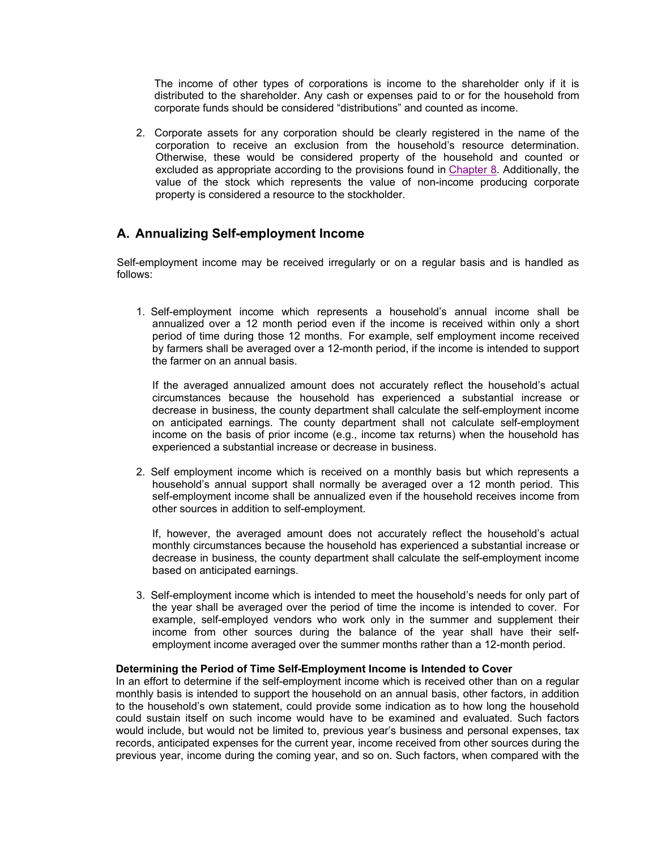The income of other types of corporations is income to the shareholder only if it is distributed to the shareholder. Any cash or expenses paid to or for the household from corporate funds should be considered "distributions" and counted as income.

2. Corporate assets for any corporation should be clearly registered in the name of the corporation to receive an exclusion from the household's resource determination. Otherwise, these would be considered property of the household and counted or excluded as appropriate according to the provisions found in Chapter 8. Additionally, the value of the stock which represents the value of non-income producing corporate property is considered a resource to the stockholder.

## **A. Annualizing Self-employment Income**

Self-employment income may be received irregularly or on a regular basis and is handled as follows:

1. Self-employment income which represents a household's annual income shall be annualized over a 12 month period even if the income is received within only a short period of time during those 12 months. For example, self employment income received by farmers shall be averaged over a 12-month period, if the income is intended to support the farmer on an annual basis.

If the averaged annualized amount does not accurately reflect the household's actual circumstances because the household has experienced a substantial increase or decrease in business, the county department shall calculate the self-employment income on anticipated earnings. The county department shall not calculate self-employment income on the basis of prior income (e.g., income tax returns) when the household has experienced a substantial increase or decrease in business.

2. Self employment income which is received on a monthly basis but which represents a household's annual support shall normally be averaged over a 12 month period. This self-employment income shall be annualized even if the household receives income from other sources in addition to self-employment.

If, however, the averaged amount does not accurately reflect the household's actual monthly circumstances because the household has experienced a substantial increase or decrease in business, the county department shall calculate the self-employment income based on anticipated earnings.

3. Self-employment income which is intended to meet the household's needs for only part of the year shall be averaged over the period of time the income is intended to cover. For example, self-employed vendors who work only in the summer and supplement their income from other sources during the balance of the year shall have their selfemployment income averaged over the summer months rather than a 12-month period.

### **Determining the Period of Time Self-Employment Income is Intended to Cover**

In an effort to determine if the self-employment income which is received other than on a regular monthly basis is intended to support the household on an annual basis, other factors, in addition to the household's own statement, could provide some indication as to how long the household could sustain itself on such income would have to be examined and evaluated. Such factors would include, but would not be limited to, previous year's business and personal expenses, tax records, anticipated expenses for the current year, income received from other sources during the previous year, income during the coming year, and so on. Such factors, when compared with the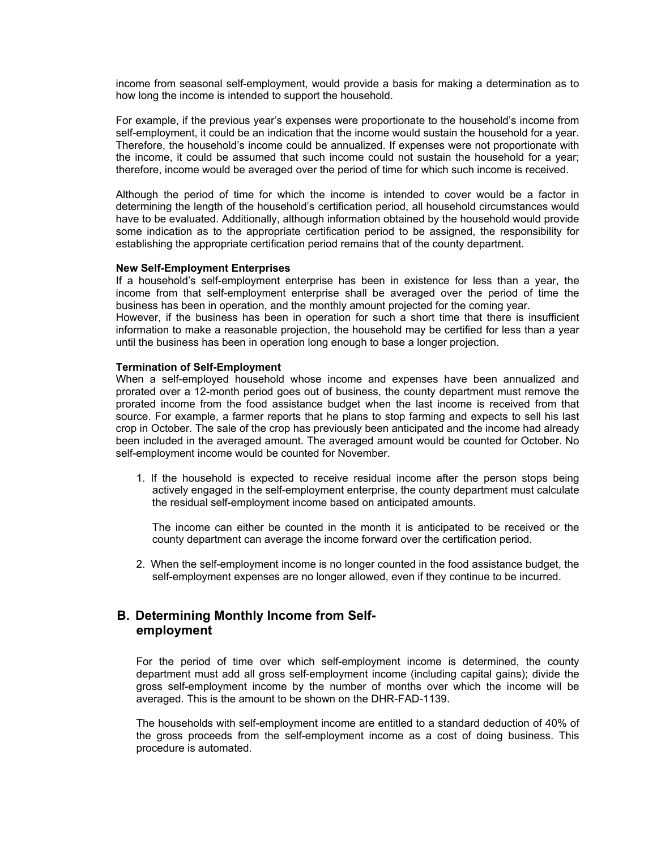income from seasonal self-employment, would provide a basis for making a determination as to how long the income is intended to support the household.

For example, if the previous year's expenses were proportionate to the household's income from self-employment, it could be an indication that the income would sustain the household for a year. Therefore, the household's income could be annualized. If expenses were not proportionate with the income, it could be assumed that such income could not sustain the household for a year; therefore, income would be averaged over the period of time for which such income is received.

Although the period of time for which the income is intended to cover would be a factor in determining the length of the household's certification period, all household circumstances would have to be evaluated. Additionally, although information obtained by the household would provide some indication as to the appropriate certification period to be assigned, the responsibility for establishing the appropriate certification period remains that of the county department.

#### **New Self-Employment Enterprises**

If a household's self-employment enterprise has been in existence for less than a year, the income from that self-employment enterprise shall be averaged over the period of time the business has been in operation, and the monthly amount projected for the coming year.

However, if the business has been in operation for such a short time that there is insufficient information to make a reasonable projection, the household may be certified for less than a year until the business has been in operation long enough to base a longer projection.

### **Termination of Self-Employment**

When a self-employed household whose income and expenses have been annualized and prorated over a 12-month period goes out of business, the county department must remove the prorated income from the food assistance budget when the last income is received from that source. For example, a farmer reports that he plans to stop farming and expects to sell his last crop in October. The sale of the crop has previously been anticipated and the income had already been included in the averaged amount. The averaged amount would be counted for October. No self-employment income would be counted for November.

1. If the household is expected to receive residual income after the person stops being actively engaged in the self-employment enterprise, the county department must calculate the residual self-employment income based on anticipated amounts.

The income can either be counted in the month it is anticipated to be received or the county department can average the income forward over the certification period.

2. When the self-employment income is no longer counted in the food assistance budget, the self-employment expenses are no longer allowed, even if they continue to be incurred.

## **B. Determining Monthly Income from Selfemployment**

For the period of time over which self-employment income is determined, the county department must add all gross self-employment income (including capital gains); divide the gross self-employment income by the number of months over which the income will be averaged. This is the amount to be shown on the DHR-FAD-1139.

The households with self-employment income are entitled to a standard deduction of 40% of the gross proceeds from the self-employment income as a cost of doing business. This procedure is automated.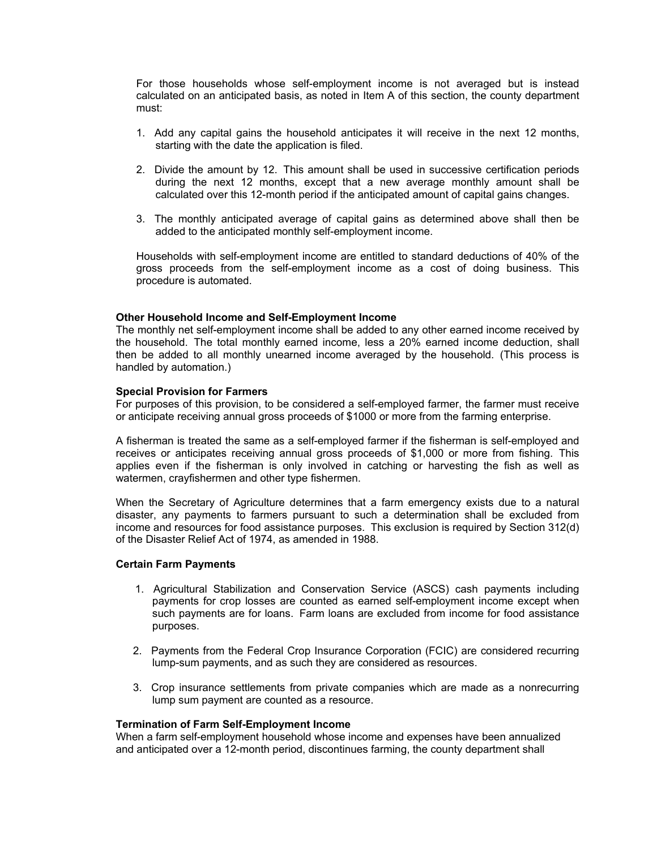For those households whose self-employment income is not averaged but is instead calculated on an anticipated basis, as noted in Item A of this section, the county department must:

- 1. Add any capital gains the household anticipates it will receive in the next 12 months, starting with the date the application is filed.
- 2. Divide the amount by 12. This amount shall be used in successive certification periods during the next 12 months, except that a new average monthly amount shall be calculated over this 12-month period if the anticipated amount of capital gains changes.
- 3. The monthly anticipated average of capital gains as determined above shall then be added to the anticipated monthly self-employment income.

Households with self-employment income are entitled to standard deductions of 40% of the gross proceeds from the self-employment income as a cost of doing business. This procedure is automated.

### **Other Household Income and Self-Employment Income**

The monthly net self-employment income shall be added to any other earned income received by the household. The total monthly earned income, less a 20% earned income deduction, shall then be added to all monthly unearned income averaged by the household. (This process is handled by automation.)

#### **Special Provision for Farmers**

For purposes of this provision, to be considered a self-employed farmer, the farmer must receive or anticipate receiving annual gross proceeds of \$1000 or more from the farming enterprise.

A fisherman is treated the same as a self-employed farmer if the fisherman is self-employed and receives or anticipates receiving annual gross proceeds of \$1,000 or more from fishing. This applies even if the fisherman is only involved in catching or harvesting the fish as well as watermen, crayfishermen and other type fishermen.

When the Secretary of Agriculture determines that a farm emergency exists due to a natural disaster, any payments to farmers pursuant to such a determination shall be excluded from income and resources for food assistance purposes. This exclusion is required by Section 312(d) of the Disaster Relief Act of 1974, as amended in 1988.

#### **Certain Farm Payments**

- 1. Agricultural Stabilization and Conservation Service (ASCS) cash payments including payments for crop losses are counted as earned self-employment income except when such payments are for loans. Farm loans are excluded from income for food assistance purposes.
- 2. Payments from the Federal Crop Insurance Corporation (FCIC) are considered recurring lump-sum payments, and as such they are considered as resources.
- 3. Crop insurance settlements from private companies which are made as a nonrecurring lump sum payment are counted as a resource.

#### **Termination of Farm Self-Employment Income**

When a farm self-employment household whose income and expenses have been annualized and anticipated over a 12-month period, discontinues farming, the county department shall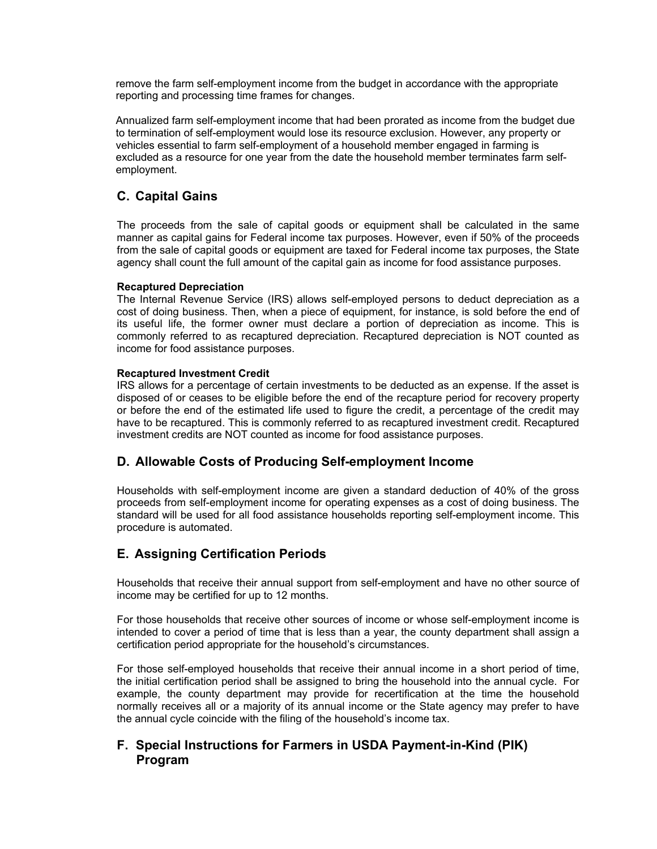remove the farm self-employment income from the budget in accordance with the appropriate reporting and processing time frames for changes.

Annualized farm self-employment income that had been prorated as income from the budget due to termination of self-employment would lose its resource exclusion. However, any property or vehicles essential to farm self-employment of a household member engaged in farming is excluded as a resource for one year from the date the household member terminates farm selfemployment.

## **C. Capital Gains**

The proceeds from the sale of capital goods or equipment shall be calculated in the same manner as capital gains for Federal income tax purposes. However, even if 50% of the proceeds from the sale of capital goods or equipment are taxed for Federal income tax purposes, the State agency shall count the full amount of the capital gain as income for food assistance purposes.

### **Recaptured Depreciation**

The Internal Revenue Service (IRS) allows self-employed persons to deduct depreciation as a cost of doing business. Then, when a piece of equipment, for instance, is sold before the end of its useful life, the former owner must declare a portion of depreciation as income. This is commonly referred to as recaptured depreciation. Recaptured depreciation is NOT counted as income for food assistance purposes.

### **Recaptured Investment Credit**

IRS allows for a percentage of certain investments to be deducted as an expense. If the asset is disposed of or ceases to be eligible before the end of the recapture period for recovery property or before the end of the estimated life used to figure the credit, a percentage of the credit may have to be recaptured. This is commonly referred to as recaptured investment credit. Recaptured investment credits are NOT counted as income for food assistance purposes.

## **D. Allowable Costs of Producing Self-employment Income**

Households with self-employment income are given a standard deduction of 40% of the gross proceeds from self-employment income for operating expenses as a cost of doing business. The standard will be used for all food assistance households reporting self-employment income. This procedure is automated.

## **E. Assigning Certification Periods**

Households that receive their annual support from self-employment and have no other source of income may be certified for up to 12 months.

For those households that receive other sources of income or whose self-employment income is intended to cover a period of time that is less than a year, the county department shall assign a certification period appropriate for the household's circumstances.

For those self-employed households that receive their annual income in a short period of time, the initial certification period shall be assigned to bring the household into the annual cycle. For example, the county department may provide for recertification at the time the household normally receives all or a majority of its annual income or the State agency may prefer to have the annual cycle coincide with the filing of the household's income tax.

## **F. Special Instructions for Farmers in USDA Payment-in-Kind (PIK) Program**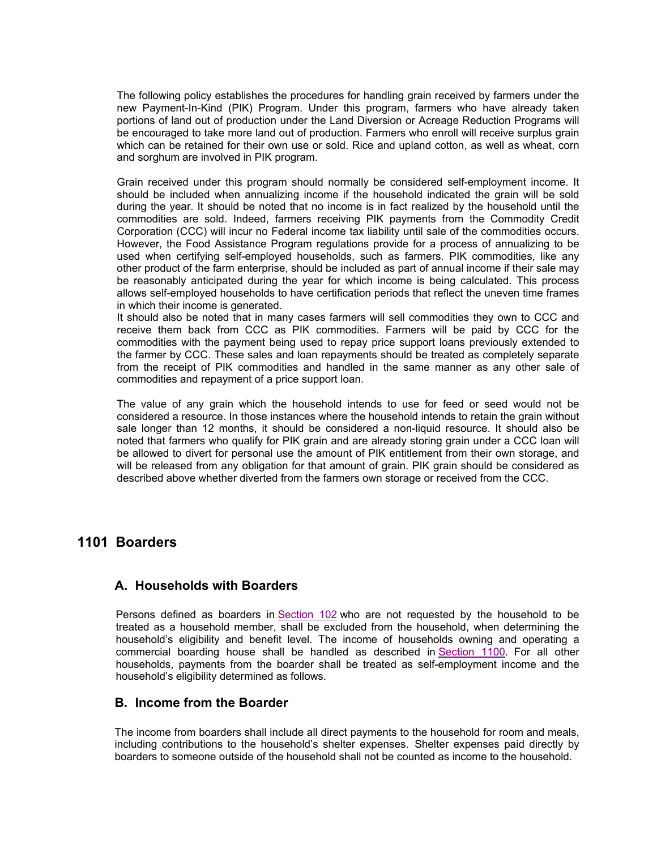The following policy establishes the procedures for handling grain received by farmers under the new Payment-In-Kind (PIK) Program. Under this program, farmers who have already taken portions of land out of production under the Land Diversion or Acreage Reduction Programs will be encouraged to take more land out of production. Farmers who enroll will receive surplus grain which can be retained for their own use or sold. Rice and upland cotton, as well as wheat, corn and sorghum are involved in PIK program.

Grain received under this program should normally be considered self-employment income. It should be included when annualizing income if the household indicated the grain will be sold during the year. It should be noted that no income is in fact realized by the household until the commodities are sold. Indeed, farmers receiving PIK payments from the Commodity Credit Corporation (CCC) will incur no Federal income tax liability until sale of the commodities occurs. However, the Food Assistance Program regulations provide for a process of annualizing to be used when certifying self-employed households, such as farmers. PIK commodities, like any other product of the farm enterprise, should be included as part of annual income if their sale may be reasonably anticipated during the year for which income is being calculated. This process allows self-employed households to have certification periods that reflect the uneven time frames in which their income is generated.

It should also be noted that in many cases farmers will sell commodities they own to CCC and receive them back from CCC as PIK commodities. Farmers will be paid by CCC for the commodities with the payment being used to repay price support loans previously extended to the farmer by CCC. These sales and loan repayments should be treated as completely separate from the receipt of PIK commodities and handled in the same manner as any other sale of commodities and repayment of a price support loan.

The value of any grain which the household intends to use for feed or seed would not be considered a resource. In those instances where the household intends to retain the grain without sale longer than 12 months, it should be considered a non-liquid resource. It should also be noted that farmers who qualify for PIK grain and are already storing grain under a CCC loan will be allowed to divert for personal use the amount of PIK entitlement from their own storage, and will be released from any obligation for that amount of grain. PIK grain should be considered as described above whether diverted from the farmers own storage or received from the CCC.

## **1101 Boarders**

## **A. Households with Boarders**

Persons defined as boarders in Section 102 who are not requested by the household to be treated as a household member, shall be excluded from the household, when determining the household's eligibility and benefit level. The income of households owning and operating a commercial boarding house shall be handled as described in Section 1100. For all other households, payments from the boarder shall be treated as self-employment income and the household's eligibility determined as follows.

## **B. Income from the Boarder**

The income from boarders shall include all direct payments to the household for room and meals, including contributions to the household's shelter expenses. Shelter expenses paid directly by boarders to someone outside of the household shall not be counted as income to the household.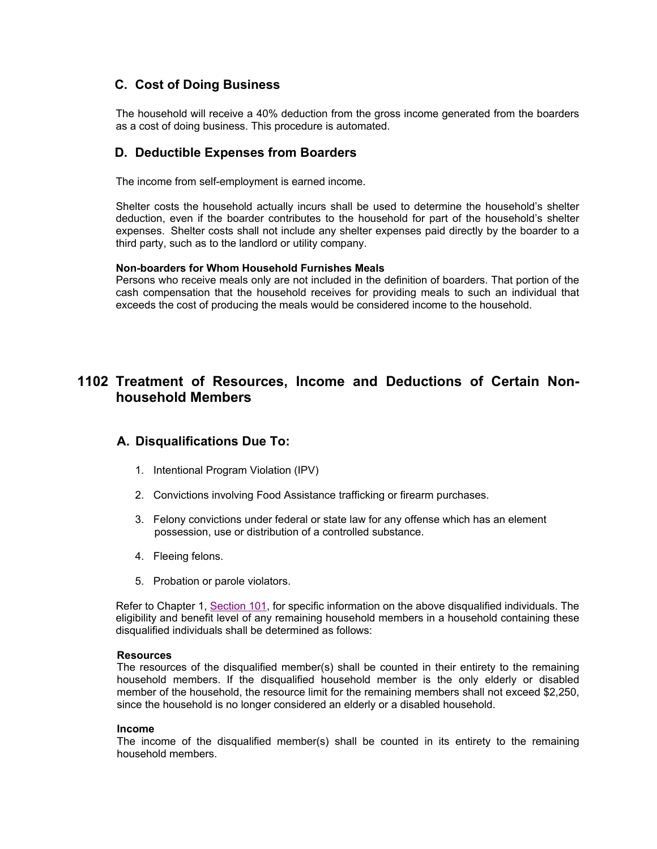## **C. Cost of Doing Business**

The household will receive a 40% deduction from the gross income generated from the boarders as a cost of doing business. This procedure is automated.

## **D. Deductible Expenses from Boarders**

The income from self-employment is earned income.

Shelter costs the household actually incurs shall be used to determine the household's shelter deduction, even if the boarder contributes to the household for part of the household's shelter expenses. Shelter costs shall not include any shelter expenses paid directly by the boarder to a third party, such as to the landlord or utility company.

### **Non-boarders for Whom Household Furnishes Meals**

Persons who receive meals only are not included in the definition of boarders. That portion of the cash compensation that the household receives for providing meals to such an individual that exceeds the cost of producing the meals would be considered income to the household.

## **1102 Treatment of Resources, Income and Deductions of Certain Nonhousehold Members**

## **A. Disqualifications Due To:**

- 1. Intentional Program Violation (IPV)
- 2. Convictions involving Food Assistance trafficking or firearm purchases.
- 3. Felony convictions under federal or state law for any offense which has an element possession, use or distribution of a controlled substance.
- 4. Fleeing felons.
- 5. Probation or parole violators.

Refer to Chapter 1, Section 101, for specific information on the above disqualified individuals. The eligibility and benefit level of any remaining household members in a household containing these disqualified individuals shall be determined as follows:

#### **Resources**

The resources of the disqualified member(s) shall be counted in their entirety to the remaining household members. If the disqualified household member is the only elderly or disabled member of the household, the resource limit for the remaining members shall not exceed \$2,250, since the household is no longer considered an elderly or a disabled household.

### **Income**

The income of the disqualified member(s) shall be counted in its entirety to the remaining household members.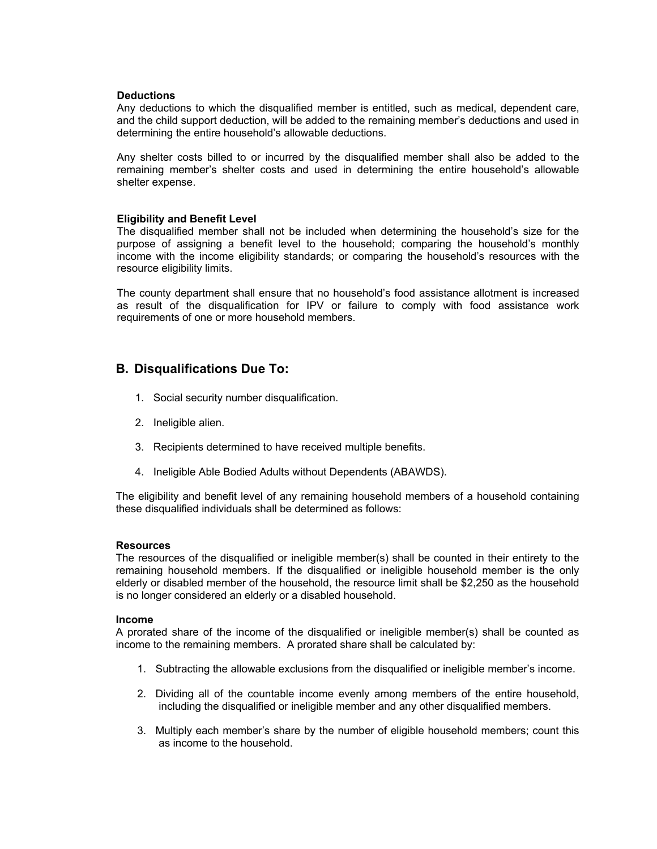#### **Deductions**

Any deductions to which the disqualified member is entitled, such as medical, dependent care, and the child support deduction, will be added to the remaining member's deductions and used in determining the entire household's allowable deductions.

Any shelter costs billed to or incurred by the disqualified member shall also be added to the remaining member's shelter costs and used in determining the entire household's allowable shelter expense.

### **Eligibility and Benefit Level**

The disqualified member shall not be included when determining the household's size for the purpose of assigning a benefit level to the household; comparing the household's monthly income with the income eligibility standards; or comparing the household's resources with the resource eligibility limits.

The county department shall ensure that no household's food assistance allotment is increased as result of the disqualification for IPV or failure to comply with food assistance work requirements of one or more household members.

## **B. Disqualifications Due To:**

- 1. Social security number disqualification.
- 2. Ineligible alien.
- 3. Recipients determined to have received multiple benefits.
- 4. Ineligible Able Bodied Adults without Dependents (ABAWDS).

The eligibility and benefit level of any remaining household members of a household containing these disqualified individuals shall be determined as follows:

### **Resources**

The resources of the disqualified or ineligible member(s) shall be counted in their entirety to the remaining household members. If the disqualified or ineligible household member is the only elderly or disabled member of the household, the resource limit shall be \$2,250 as the household is no longer considered an elderly or a disabled household.

#### **Income**

A prorated share of the income of the disqualified or ineligible member(s) shall be counted as income to the remaining members. A prorated share shall be calculated by:

- 1. Subtracting the allowable exclusions from the disqualified or ineligible member's income.
- 2. Dividing all of the countable income evenly among members of the entire household, including the disqualified or ineligible member and any other disqualified members.
- 3. Multiply each member's share by the number of eligible household members; count this as income to the household.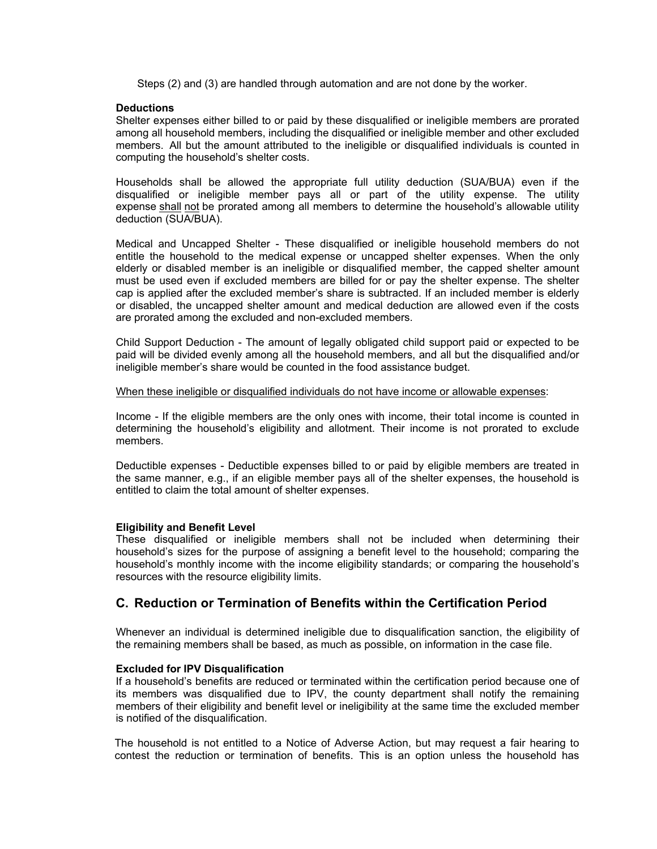Steps (2) and (3) are handled through automation and are not done by the worker.

### **Deductions**

Shelter expenses either billed to or paid by these disqualified or ineligible members are prorated among all household members, including the disqualified or ineligible member and other excluded members. All but the amount attributed to the ineligible or disqualified individuals is counted in computing the household's shelter costs.

Households shall be allowed the appropriate full utility deduction (SUA/BUA) even if the disqualified or ineligible member pays all or part of the utility expense. The utility expense shall not be prorated among all members to determine the household's allowable utility deduction (SUA/BUA).

Medical and Uncapped Shelter - These disqualified or ineligible household members do not entitle the household to the medical expense or uncapped shelter expenses. When the only elderly or disabled member is an ineligible or disqualified member, the capped shelter amount must be used even if excluded members are billed for or pay the shelter expense. The shelter cap is applied after the excluded member's share is subtracted. If an included member is elderly or disabled, the uncapped shelter amount and medical deduction are allowed even if the costs are prorated among the excluded and non-excluded members.

Child Support Deduction - The amount of legally obligated child support paid or expected to be paid will be divided evenly among all the household members, and all but the disqualified and/or ineligible member's share would be counted in the food assistance budget.

#### When these ineligible or disqualified individuals do not have income or allowable expenses:

Income - If the eligible members are the only ones with income, their total income is counted in determining the household's eligibility and allotment. Their income is not prorated to exclude members.

Deductible expenses - Deductible expenses billed to or paid by eligible members are treated in the same manner, e.g., if an eligible member pays all of the shelter expenses, the household is entitled to claim the total amount of shelter expenses.

### **Eligibility and Benefit Level**

These disqualified or ineligible members shall not be included when determining their household's sizes for the purpose of assigning a benefit level to the household; comparing the household's monthly income with the income eligibility standards; or comparing the household's resources with the resource eligibility limits.

### **C. Reduction or Termination of Benefits within the Certification Period**

Whenever an individual is determined ineligible due to disqualification sanction, the eligibility of the remaining members shall be based, as much as possible, on information in the case file.

### **Excluded for IPV Disqualification**

If a household's benefits are reduced or terminated within the certification period because one of its members was disqualified due to IPV, the county department shall notify the remaining members of their eligibility and benefit level or ineligibility at the same time the excluded member is notified of the disqualification.

The household is not entitled to a Notice of Adverse Action, but may request a fair hearing to contest the reduction or termination of benefits. This is an option unless the household has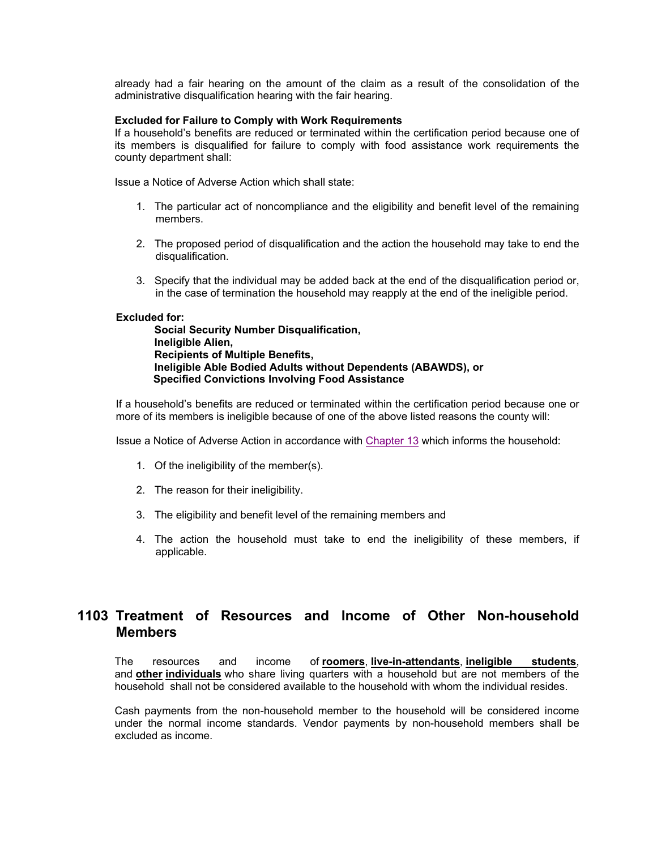already had a fair hearing on the amount of the claim as a result of the consolidation of the administrative disqualification hearing with the fair hearing.

#### **Excluded for Failure to Comply with Work Requirements**

If a household's benefits are reduced or terminated within the certification period because one of its members is disqualified for failure to comply with food assistance work requirements the county department shall:

Issue a Notice of Adverse Action which shall state:

- 1. The particular act of noncompliance and the eligibility and benefit level of the remaining members.
- 2. The proposed period of disqualification and the action the household may take to end the disqualification.
- 3. Specify that the individual may be added back at the end of the disqualification period or, in the case of termination the household may reapply at the end of the ineligible period.

### **Excluded for:**

**Social Security Number Disqualification, Ineligible Alien, Recipients of Multiple Benefits, Ineligible Able Bodied Adults without Dependents (ABAWDS), or Specified Convictions Involving Food Assistance**

If a household's benefits are reduced or terminated within the certification period because one or more of its members is ineligible because of one of the above listed reasons the county will:

Issue a Notice of Adverse Action in accordance with Chapter 13 which informs the household:

- 1. Of the ineligibility of the member(s).
- 2. The reason for their ineligibility.
- 3. The eligibility and benefit level of the remaining members and
- 4. The action the household must take to end the ineligibility of these members, if applicable.

## **1103 Treatment of Resources and Income of Other Non-household Members**

The resources and income of **roomers**, **live-in-attendants**, **ineligible students**, and **other individuals** who share living quarters with a household but are not members of the household shall not be considered available to the household with whom the individual resides.

Cash payments from the non-household member to the household will be considered income under the normal income standards. Vendor payments by non-household members shall be excluded as income.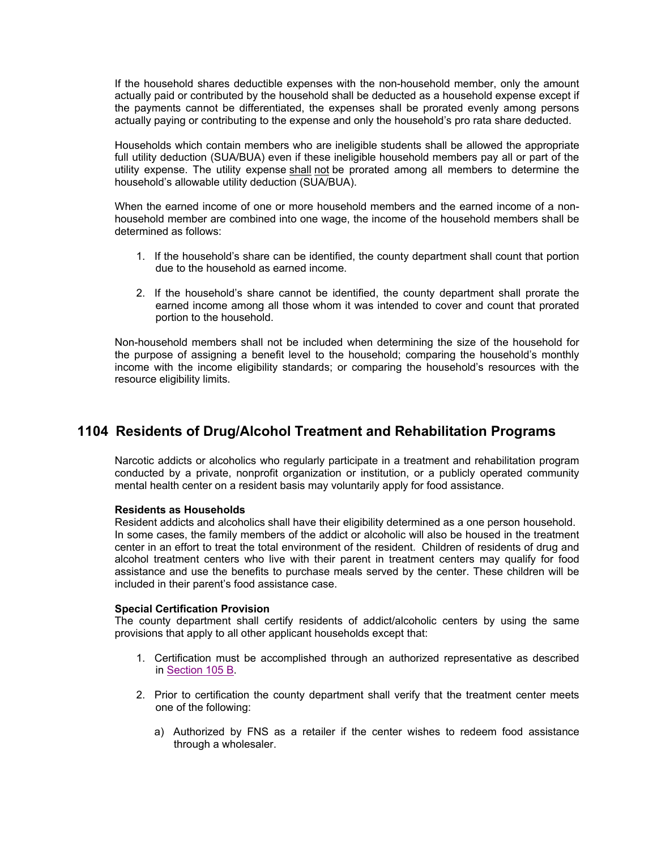If the household shares deductible expenses with the non-household member, only the amount actually paid or contributed by the household shall be deducted as a household expense except if the payments cannot be differentiated, the expenses shall be prorated evenly among persons actually paying or contributing to the expense and only the household's pro rata share deducted.

Households which contain members who are ineligible students shall be allowed the appropriate full utility deduction (SUA/BUA) even if these ineligible household members pay all or part of the utility expense. The utility expense shall not be prorated among all members to determine the household's allowable utility deduction (SUA/BUA).

When the earned income of one or more household members and the earned income of a nonhousehold member are combined into one wage, the income of the household members shall be determined as follows:

- 1. If the household's share can be identified, the county department shall count that portion due to the household as earned income.
- 2. If the household's share cannot be identified, the county department shall prorate the earned income among all those whom it was intended to cover and count that prorated portion to the household.

Non-household members shall not be included when determining the size of the household for the purpose of assigning a benefit level to the household; comparing the household's monthly income with the income eligibility standards; or comparing the household's resources with the resource eligibility limits.

## **1104 Residents of Drug/Alcohol Treatment and Rehabilitation Programs**

Narcotic addicts or alcoholics who regularly participate in a treatment and rehabilitation program conducted by a private, nonprofit organization or institution, or a publicly operated community mental health center on a resident basis may voluntarily apply for food assistance.

### **Residents as Households**

Resident addicts and alcoholics shall have their eligibility determined as a one person household. In some cases, the family members of the addict or alcoholic will also be housed in the treatment center in an effort to treat the total environment of the resident. Children of residents of drug and alcohol treatment centers who live with their parent in treatment centers may qualify for food assistance and use the benefits to purchase meals served by the center. These children will be included in their parent's food assistance case.

### **Special Certification Provision**

The county department shall certify residents of addict/alcoholic centers by using the same provisions that apply to all other applicant households except that:

- 1. Certification must be accomplished through an authorized representative as described in Section 105 B.
- 2. Prior to certification the county department shall verify that the treatment center meets one of the following:
	- a) Authorized by FNS as a retailer if the center wishes to redeem food assistance through a wholesaler.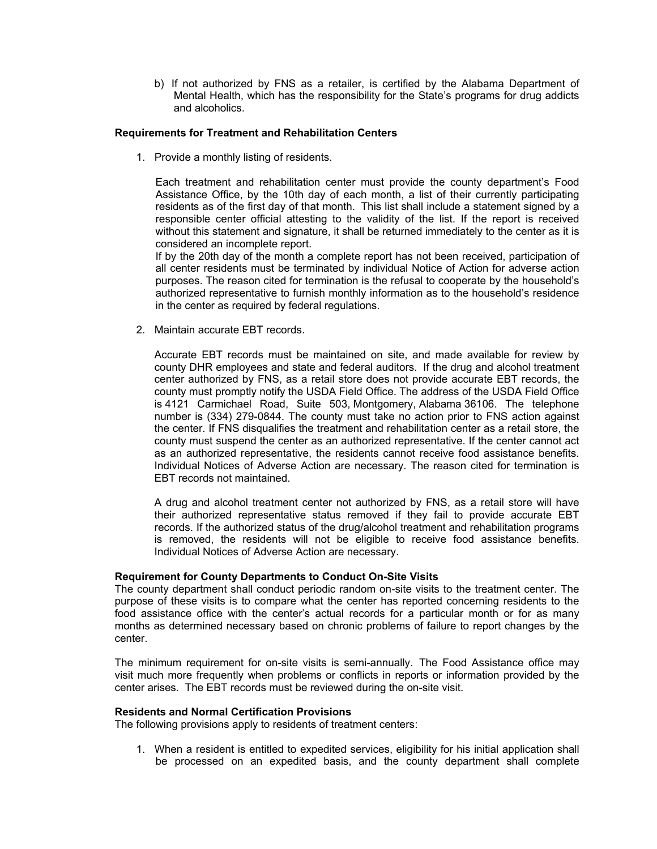b) If not authorized by FNS as a retailer, is certified by the Alabama Department of Mental Health, which has the responsibility for the State's programs for drug addicts and alcoholics.

### **Requirements for Treatment and Rehabilitation Centers**

1. Provide a monthly listing of residents.

Each treatment and rehabilitation center must provide the county department's Food Assistance Office, by the 10th day of each month, a list of their currently participating residents as of the first day of that month. This list shall include a statement signed by a responsible center official attesting to the validity of the list. If the report is received without this statement and signature, it shall be returned immediately to the center as it is considered an incomplete report.

If by the 20th day of the month a complete report has not been received, participation of all center residents must be terminated by individual Notice of Action for adverse action purposes. The reason cited for termination is the refusal to cooperate by the household's authorized representative to furnish monthly information as to the household's residence in the center as required by federal regulations.

2. Maintain accurate EBT records.

Accurate EBT records must be maintained on site, and made available for review by county DHR employees and state and federal auditors. If the drug and alcohol treatment center authorized by FNS, as a retail store does not provide accurate EBT records, the county must promptly notify the USDA Field Office. The address of the USDA Field Office is 4121 Carmichael Road, Suite 503, Montgomery, Alabama 36106. The telephone number is (334) 279-0844. The county must take no action prior to FNS action against the center. If FNS disqualifies the treatment and rehabilitation center as a retail store, the county must suspend the center as an authorized representative. If the center cannot act as an authorized representative, the residents cannot receive food assistance benefits. Individual Notices of Adverse Action are necessary. The reason cited for termination is EBT records not maintained.

A drug and alcohol treatment center not authorized by FNS, as a retail store will have their authorized representative status removed if they fail to provide accurate EBT records. If the authorized status of the drug/alcohol treatment and rehabilitation programs is removed, the residents will not be eligible to receive food assistance benefits. Individual Notices of Adverse Action are necessary.

### **Requirement for County Departments to Conduct On-Site Visits**

The county department shall conduct periodic random on-site visits to the treatment center. The purpose of these visits is to compare what the center has reported concerning residents to the food assistance office with the center's actual records for a particular month or for as many months as determined necessary based on chronic problems of failure to report changes by the center.

The minimum requirement for on-site visits is semi-annually. The Food Assistance office may visit much more frequently when problems or conflicts in reports or information provided by the center arises. The EBT records must be reviewed during the on-site visit.

### **Residents and Normal Certification Provisions**

The following provisions apply to residents of treatment centers:

1. When a resident is entitled to expedited services, eligibility for his initial application shall be processed on an expedited basis, and the county department shall complete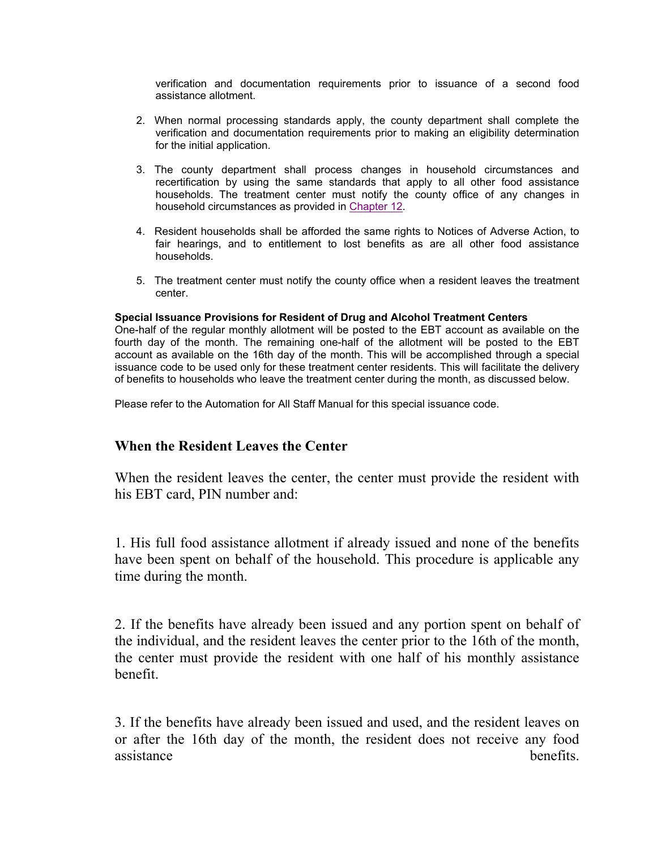verification and documentation requirements prior to issuance of a second food assistance allotment.

- 2. When normal processing standards apply, the county department shall complete the verification and documentation requirements prior to making an eligibility determination for the initial application.
- 3. The county department shall process changes in household circumstances and recertification by using the same standards that apply to all other food assistance households. The treatment center must notify the county office of any changes in household circumstances as provided in Chapter 12.
- 4. Resident households shall be afforded the same rights to Notices of Adverse Action, to fair hearings, and to entitlement to lost benefits as are all other food assistance households.
- 5. The treatment center must notify the county office when a resident leaves the treatment center.

### **Special Issuance Provisions for Resident of Drug and Alcohol Treatment Centers**

One-half of the regular monthly allotment will be posted to the EBT account as available on the fourth day of the month. The remaining one-half of the allotment will be posted to the EBT account as available on the 16th day of the month. This will be accomplished through a special issuance code to be used only for these treatment center residents. This will facilitate the delivery of benefits to households who leave the treatment center during the month, as discussed below.

Please refer to the Automation for All Staff Manual for this special issuance code.

## **When the Resident Leaves the Center**

When the resident leaves the center, the center must provide the resident with his EBT card, PIN number and:

1. His full food assistance allotment if already issued and none of the benefits have been spent on behalf of the household. This procedure is applicable any time during the month.

2. If the benefits have already been issued and any portion spent on behalf of the individual, and the resident leaves the center prior to the 16th of the month, the center must provide the resident with one half of his monthly assistance benefit.

3. If the benefits have already been issued and used, and the resident leaves on or after the 16th day of the month, the resident does not receive any food assistance benefits.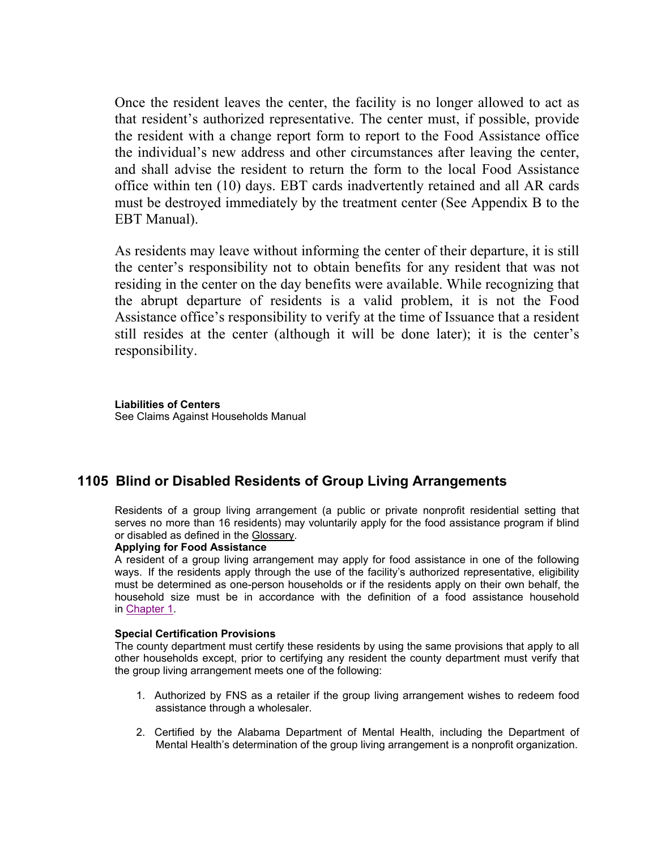Once the resident leaves the center, the facility is no longer allowed to act as that resident's authorized representative. The center must, if possible, provide the resident with a change report form to report to the Food Assistance office the individual's new address and other circumstances after leaving the center, and shall advise the resident to return the form to the local Food Assistance office within ten (10) days. EBT cards inadvertently retained and all AR cards must be destroyed immediately by the treatment center (See Appendix B to the EBT Manual).

As residents may leave without informing the center of their departure, it is still the center's responsibility not to obtain benefits for any resident that was not residing in the center on the day benefits were available. While recognizing that the abrupt departure of residents is a valid problem, it is not the Food Assistance office's responsibility to verify at the time of Issuance that a resident still resides at the center (although it will be done later); it is the center's responsibility.

**Liabilities of Centers** See Claims Against Households Manual

## **1105 Blind or Disabled Residents of Group Living Arrangements**

Residents of a group living arrangement (a public or private nonprofit residential setting that serves no more than 16 residents) may voluntarily apply for the food assistance program if blind or disabled as defined in the Glossary.

### **Applying for Food Assistance**

A resident of a group living arrangement may apply for food assistance in one of the following ways. If the residents apply through the use of the facility's authorized representative, eligibility must be determined as one-person households or if the residents apply on their own behalf, the household size must be in accordance with the definition of a food assistance household in Chapter 1.

#### **Special Certification Provisions**

The county department must certify these residents by using the same provisions that apply to all other households except, prior to certifying any resident the county department must verify that the group living arrangement meets one of the following:

- 1. Authorized by FNS as a retailer if the group living arrangement wishes to redeem food assistance through a wholesaler.
- 2. Certified by the Alabama Department of Mental Health, including the Department of Mental Health's determination of the group living arrangement is a nonprofit organization.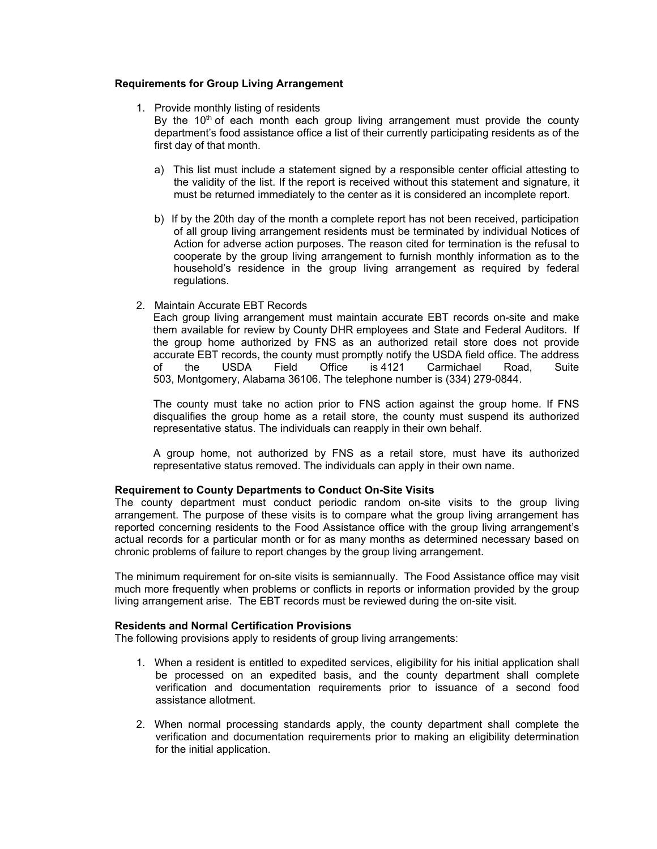### **Requirements for Group Living Arrangement**

1. Provide monthly listing of residents

By the  $10<sup>th</sup>$  of each month each group living arrangement must provide the county department's food assistance office a list of their currently participating residents as of the first day of that month.

- a) This list must include a statement signed by a responsible center official attesting to the validity of the list. If the report is received without this statement and signature, it must be returned immediately to the center as it is considered an incomplete report.
- b) If by the 20th day of the month a complete report has not been received, participation of all group living arrangement residents must be terminated by individual Notices of Action for adverse action purposes. The reason cited for termination is the refusal to cooperate by the group living arrangement to furnish monthly information as to the household's residence in the group living arrangement as required by federal regulations.
- 2. Maintain Accurate EBT Records

Each group living arrangement must maintain accurate EBT records on-site and make them available for review by County DHR employees and State and Federal Auditors. If the group home authorized by FNS as an authorized retail store does not provide accurate EBT records, the county must promptly notify the USDA field office. The address of the USDA Field Office is 4121 Carmichael Road, Suite 503, Montgomery, Alabama 36106. The telephone number is (334) 279-0844.

The county must take no action prior to FNS action against the group home. If FNS disqualifies the group home as a retail store, the county must suspend its authorized representative status. The individuals can reapply in their own behalf.

A group home, not authorized by FNS as a retail store, must have its authorized representative status removed. The individuals can apply in their own name.

### **Requirement to County Departments to Conduct On-Site Visits**

The county department must conduct periodic random on-site visits to the group living arrangement. The purpose of these visits is to compare what the group living arrangement has reported concerning residents to the Food Assistance office with the group living arrangement's actual records for a particular month or for as many months as determined necessary based on chronic problems of failure to report changes by the group living arrangement.

The minimum requirement for on-site visits is semiannually. The Food Assistance office may visit much more frequently when problems or conflicts in reports or information provided by the group living arrangement arise. The EBT records must be reviewed during the on-site visit.

### **Residents and Normal Certification Provisions**

The following provisions apply to residents of group living arrangements:

- 1. When a resident is entitled to expedited services, eligibility for his initial application shall be processed on an expedited basis, and the county department shall complete verification and documentation requirements prior to issuance of a second food assistance allotment.
- 2. When normal processing standards apply, the county department shall complete the verification and documentation requirements prior to making an eligibility determination for the initial application.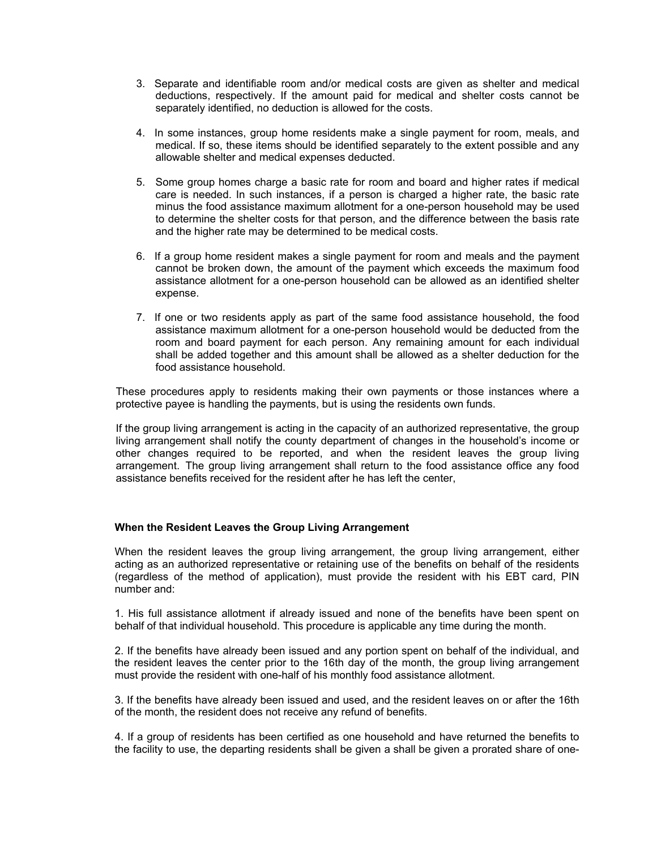- 3. Separate and identifiable room and/or medical costs are given as shelter and medical deductions, respectively. If the amount paid for medical and shelter costs cannot be separately identified, no deduction is allowed for the costs.
- 4. In some instances, group home residents make a single payment for room, meals, and medical. If so, these items should be identified separately to the extent possible and any allowable shelter and medical expenses deducted.
- 5. Some group homes charge a basic rate for room and board and higher rates if medical care is needed. In such instances, if a person is charged a higher rate, the basic rate minus the food assistance maximum allotment for a one-person household may be used to determine the shelter costs for that person, and the difference between the basis rate and the higher rate may be determined to be medical costs.
- 6. If a group home resident makes a single payment for room and meals and the payment cannot be broken down, the amount of the payment which exceeds the maximum food assistance allotment for a one-person household can be allowed as an identified shelter expense.
- 7. If one or two residents apply as part of the same food assistance household, the food assistance maximum allotment for a one-person household would be deducted from the room and board payment for each person. Any remaining amount for each individual shall be added together and this amount shall be allowed as a shelter deduction for the food assistance household.

These procedures apply to residents making their own payments or those instances where a protective payee is handling the payments, but is using the residents own funds.

If the group living arrangement is acting in the capacity of an authorized representative, the group living arrangement shall notify the county department of changes in the household's income or other changes required to be reported, and when the resident leaves the group living arrangement. The group living arrangement shall return to the food assistance office any food assistance benefits received for the resident after he has left the center,

### **When the Resident Leaves the Group Living Arrangement**

When the resident leaves the group living arrangement, the group living arrangement, either acting as an authorized representative or retaining use of the benefits on behalf of the residents (regardless of the method of application), must provide the resident with his EBT card, PIN number and:

1. His full assistance allotment if already issued and none of the benefits have been spent on behalf of that individual household. This procedure is applicable any time during the month.

2. If the benefits have already been issued and any portion spent on behalf of the individual, and the resident leaves the center prior to the 16th day of the month, the group living arrangement must provide the resident with one-half of his monthly food assistance allotment.

3. If the benefits have already been issued and used, and the resident leaves on or after the 16th of the month, the resident does not receive any refund of benefits.

4. If a group of residents has been certified as one household and have returned the benefits to the facility to use, the departing residents shall be given a shall be given a prorated share of one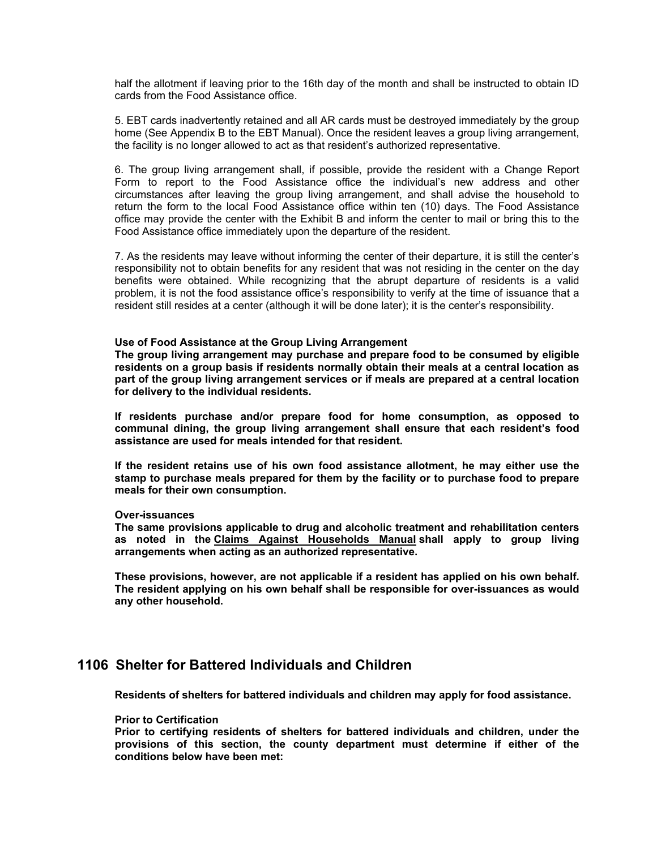half the allotment if leaving prior to the 16th day of the month and shall be instructed to obtain ID cards from the Food Assistance office.

5. EBT cards inadvertently retained and all AR cards must be destroyed immediately by the group home (See Appendix B to the EBT Manual). Once the resident leaves a group living arrangement, the facility is no longer allowed to act as that resident's authorized representative.

6. The group living arrangement shall, if possible, provide the resident with a Change Report Form to report to the Food Assistance office the individual's new address and other circumstances after leaving the group living arrangement, and shall advise the household to return the form to the local Food Assistance office within ten (10) days. The Food Assistance office may provide the center with the Exhibit B and inform the center to mail or bring this to the Food Assistance office immediately upon the departure of the resident.

7. As the residents may leave without informing the center of their departure, it is still the center's responsibility not to obtain benefits for any resident that was not residing in the center on the day benefits were obtained. While recognizing that the abrupt departure of residents is a valid problem, it is not the food assistance office's responsibility to verify at the time of issuance that a resident still resides at a center (although it will be done later); it is the center's responsibility.

#### **Use of Food Assistance at the Group Living Arrangement**

**The group living arrangement may purchase and prepare food to be consumed by eligible residents on a group basis if residents normally obtain their meals at a central location as part of the group living arrangement services or if meals are prepared at a central location for delivery to the individual residents.** 

**If residents purchase and/or prepare food for home consumption, as opposed to communal dining, the group living arrangement shall ensure that each resident's food assistance are used for meals intended for that resident.** 

**If the resident retains use of his own food assistance allotment, he may either use the stamp to purchase meals prepared for them by the facility or to purchase food to prepare meals for their own consumption.** 

#### **Over-issuances**

**The same provisions applicable to drug and alcoholic treatment and rehabilitation centers as noted in the Claims Against Households Manual shall apply to group living arrangements when acting as an authorized representative.** 

**These provisions, however, are not applicable if a resident has applied on his own behalf. The resident applying on his own behalf shall be responsible for over-issuances as would any other household.** 

## **1106 Shelter for Battered Individuals and Children**

**Residents of shelters for battered individuals and children may apply for food assistance.** 

#### **Prior to Certification**

**Prior to certifying residents of shelters for battered individuals and children, under the provisions of this section, the county department must determine if either of the conditions below have been met:**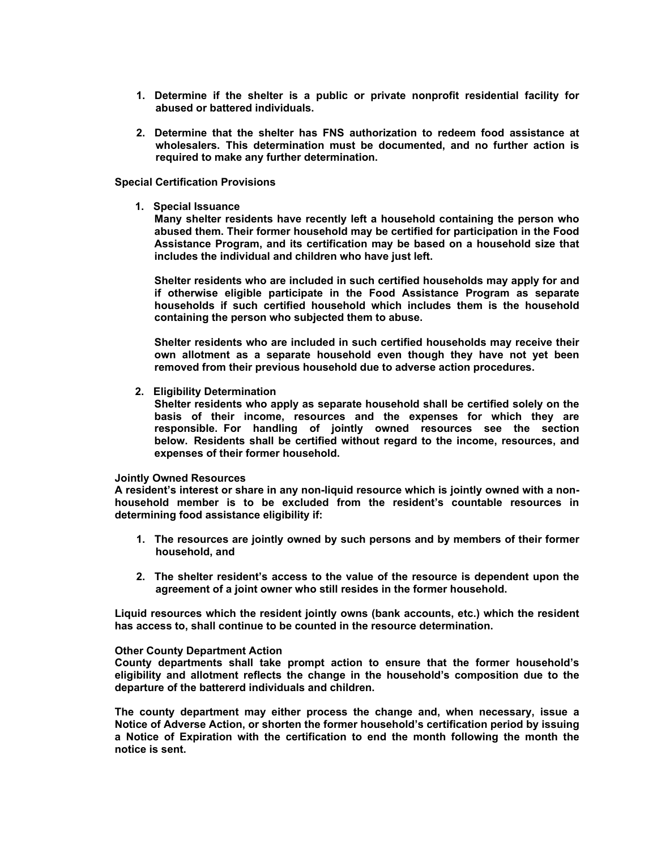- **1. Determine if the shelter is a public or private nonprofit residential facility for abused or battered individuals.**
- **2. Determine that the shelter has FNS authorization to redeem food assistance at wholesalers. This determination must be documented, and no further action is required to make any further determination.**

#### **Special Certification Provisions**

**1. Special Issuance** 

**Many shelter residents have recently left a household containing the person who abused them. Their former household may be certified for participation in the Food Assistance Program, and its certification may be based on a household size that includes the individual and children who have just left.** 

**Shelter residents who are included in such certified households may apply for and if otherwise eligible participate in the Food Assistance Program as separate households if such certified household which includes them is the household containing the person who subjected them to abuse.** 

**Shelter residents who are included in such certified households may receive their own allotment as a separate household even though they have not yet been removed from their previous household due to adverse action procedures.** 

**2. Eligibility Determination** 

**Shelter residents who apply as separate household shall be certified solely on the basis of their income, resources and the expenses for which they are responsible. For handling of jointly owned resources see the section below. Residents shall be certified without regard to the income, resources, and expenses of their former household.** 

#### **Jointly Owned Resources**

**A resident's interest or share in any non-liquid resource which is jointly owned with a nonhousehold member is to be excluded from the resident's countable resources in determining food assistance eligibility if:** 

- **1. The resources are jointly owned by such persons and by members of their former household, and**
- **2. The shelter resident's access to the value of the resource is dependent upon the agreement of a joint owner who still resides in the former household.**

**Liquid resources which the resident jointly owns (bank accounts, etc.) which the resident has access to, shall continue to be counted in the resource determination.** 

#### **Other County Department Action**

**County departments shall take prompt action to ensure that the former household's eligibility and allotment reflects the change in the household's composition due to the departure of the battererd individuals and children.** 

**The county department may either process the change and, when necessary, issue a Notice of Adverse Action, or shorten the former household's certification period by issuing a Notice of Expiration with the certification to end the month following the month the notice is sent.**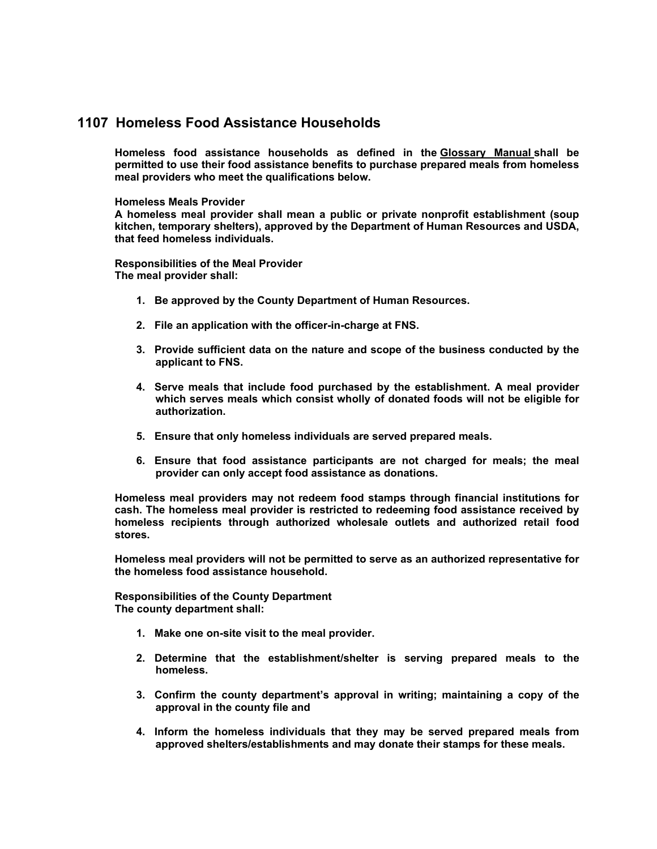## **1107 Homeless Food Assistance Households**

**Homeless food assistance households as defined in the Glossary Manual shall be permitted to use their food assistance benefits to purchase prepared meals from homeless meal providers who meet the qualifications below.** 

### **Homeless Meals Provider**

**A homeless meal provider shall mean a public or private nonprofit establishment (soup kitchen, temporary shelters), approved by the Department of Human Resources and USDA, that feed homeless individuals.** 

**Responsibilities of the Meal Provider The meal provider shall:** 

- **1. Be approved by the County Department of Human Resources.**
- **2. File an application with the officer-in-charge at FNS.**
- **3. Provide sufficient data on the nature and scope of the business conducted by the applicant to FNS.**
- **4. Serve meals that include food purchased by the establishment. A meal provider which serves meals which consist wholly of donated foods will not be eligible for authorization.**
- **5. Ensure that only homeless individuals are served prepared meals.**
- **6. Ensure that food assistance participants are not charged for meals; the meal provider can only accept food assistance as donations.**

**Homeless meal providers may not redeem food stamps through financial institutions for cash. The homeless meal provider is restricted to redeeming food assistance received by homeless recipients through authorized wholesale outlets and authorized retail food stores.** 

**Homeless meal providers will not be permitted to serve as an authorized representative for the homeless food assistance household.** 

**Responsibilities of the County Department The county department shall:** 

- **1. Make one on-site visit to the meal provider.**
- **2. Determine that the establishment/shelter is serving prepared meals to the homeless.**
- **3. Confirm the county department's approval in writing; maintaining a copy of the approval in the county file and**
- **4. Inform the homeless individuals that they may be served prepared meals from approved shelters/establishments and may donate their stamps for these meals.**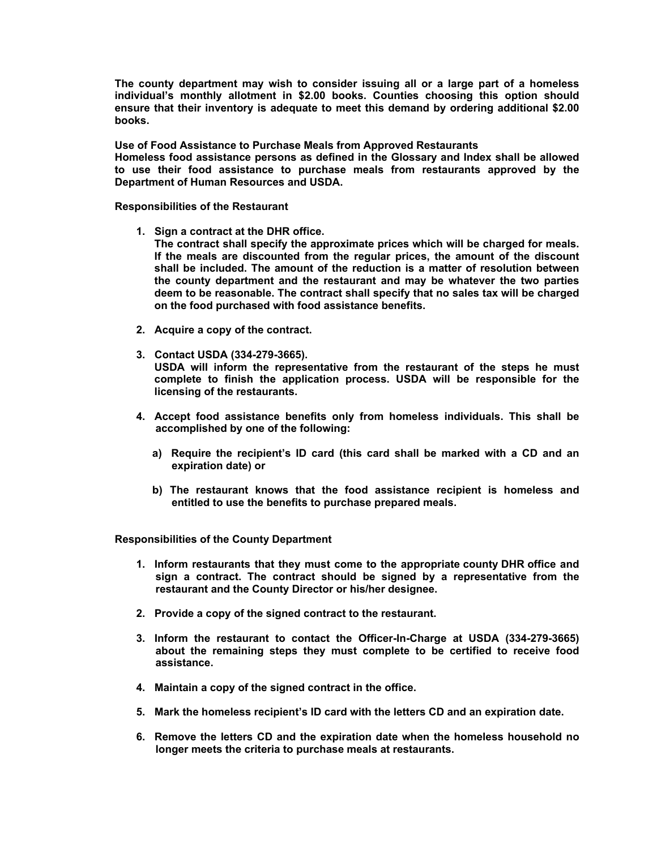**The county department may wish to consider issuing all or a large part of a homeless individual's monthly allotment in \$2.00 books. Counties choosing this option should ensure that their inventory is adequate to meet this demand by ordering additional \$2.00 books.** 

**Use of Food Assistance to Purchase Meals from Approved Restaurants Homeless food assistance persons as defined in the Glossary and Index shall be allowed to use their food assistance to purchase meals from restaurants approved by the Department of Human Resources and USDA.** 

**Responsibilities of the Restaurant** 

**1. Sign a contract at the DHR office.** 

**The contract shall specify the approximate prices which will be charged for meals. If the meals are discounted from the regular prices, the amount of the discount shall be included. The amount of the reduction is a matter of resolution between the county department and the restaurant and may be whatever the two parties deem to be reasonable. The contract shall specify that no sales tax will be charged on the food purchased with food assistance benefits.** 

- **2. Acquire a copy of the contract.**
- **3. Contact USDA (334-279-3665).**

**USDA will inform the representative from the restaurant of the steps he must complete to finish the application process. USDA will be responsible for the licensing of the restaurants.** 

- **4. Accept food assistance benefits only from homeless individuals. This shall be accomplished by one of the following:** 
	- **a) Require the recipient's ID card (this card shall be marked with a CD and an expiration date) or**
	- **b) The restaurant knows that the food assistance recipient is homeless and entitled to use the benefits to purchase prepared meals.**

**Responsibilities of the County Department** 

- **1. Inform restaurants that they must come to the appropriate county DHR office and sign a contract. The contract should be signed by a representative from the restaurant and the County Director or his/her designee.**
- **2. Provide a copy of the signed contract to the restaurant.**
- **3. Inform the restaurant to contact the Officer-In-Charge at USDA (334-279-3665) about the remaining steps they must complete to be certified to receive food assistance.**
- **4. Maintain a copy of the signed contract in the office.**
- **5. Mark the homeless recipient's ID card with the letters CD and an expiration date.**
- **6. Remove the letters CD and the expiration date when the homeless household no longer meets the criteria to purchase meals at restaurants.**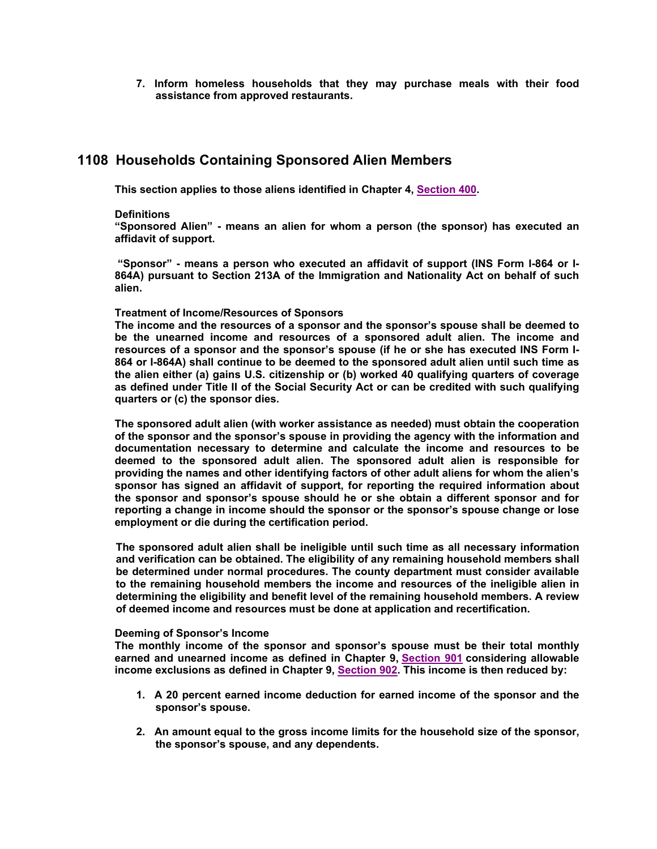**7. Inform homeless households that they may purchase meals with their food assistance from approved restaurants.** 

## **1108 Households Containing Sponsored Alien Members**

**This section applies to those aliens identified in Chapter 4, Section 400.** 

#### **Definitions**

**"Sponsored Alien" - means an alien for whom a person (the sponsor) has executed an affidavit of support.** 

 **"Sponsor" - means a person who executed an affidavit of support (INS Form I-864 or I-864A) pursuant to Section 213A of the Immigration and Nationality Act on behalf of such alien.** 

#### **Treatment of Income/Resources of Sponsors**

**The income and the resources of a sponsor and the sponsor's spouse shall be deemed to be the unearned income and resources of a sponsored adult alien. The income and resources of a sponsor and the sponsor's spouse (if he or she has executed INS Form I-864 or I-864A) shall continue to be deemed to the sponsored adult alien until such time as the alien either (a) gains U.S. citizenship or (b) worked 40 qualifying quarters of coverage as defined under Title II of the Social Security Act or can be credited with such qualifying quarters or (c) the sponsor dies.** 

**The sponsored adult alien (with worker assistance as needed) must obtain the cooperation of the sponsor and the sponsor's spouse in providing the agency with the information and documentation necessary to determine and calculate the income and resources to be deemed to the sponsored adult alien. The sponsored adult alien is responsible for providing the names and other identifying factors of other adult aliens for whom the alien's sponsor has signed an affidavit of support, for reporting the required information about the sponsor and sponsor's spouse should he or she obtain a different sponsor and for reporting a change in income should the sponsor or the sponsor's spouse change or lose employment or die during the certification period.** 

**The sponsored adult alien shall be ineligible until such time as all necessary information and verification can be obtained. The eligibility of any remaining household members shall be determined under normal procedures. The county department must consider available to the remaining household members the income and resources of the ineligible alien in determining the eligibility and benefit level of the remaining household members. A review of deemed income and resources must be done at application and recertification.** 

#### **Deeming of Sponsor's Income**

**The monthly income of the sponsor and sponsor's spouse must be their total monthly earned and unearned income as defined in Chapter 9, Section 901 considering allowable income exclusions as defined in Chapter 9, Section 902. This income is then reduced by:** 

- **1. A 20 percent earned income deduction for earned income of the sponsor and the sponsor's spouse.**
- **2. An amount equal to the gross income limits for the household size of the sponsor, the sponsor's spouse, and any dependents.**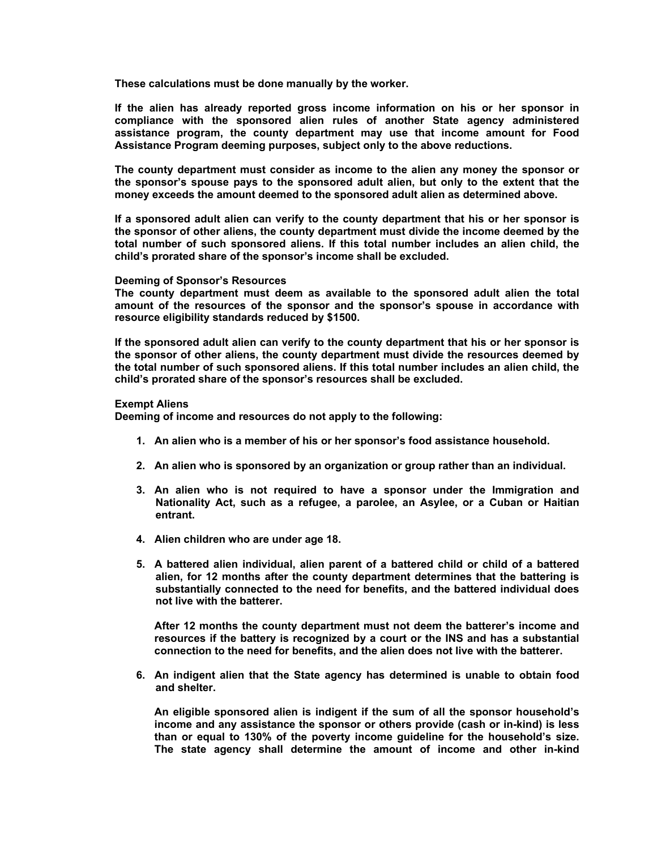**These calculations must be done manually by the worker.** 

**If the alien has already reported gross income information on his or her sponsor in compliance with the sponsored alien rules of another State agency administered assistance program, the county department may use that income amount for Food Assistance Program deeming purposes, subject only to the above reductions.** 

**The county department must consider as income to the alien any money the sponsor or the sponsor's spouse pays to the sponsored adult alien, but only to the extent that the money exceeds the amount deemed to the sponsored adult alien as determined above.** 

**If a sponsored adult alien can verify to the county department that his or her sponsor is the sponsor of other aliens, the county department must divide the income deemed by the total number of such sponsored aliens. If this total number includes an alien child, the child's prorated share of the sponsor's income shall be excluded.** 

#### **Deeming of Sponsor's Resources**

**The county department must deem as available to the sponsored adult alien the total amount of the resources of the sponsor and the sponsor's spouse in accordance with resource eligibility standards reduced by \$1500.** 

**If the sponsored adult alien can verify to the county department that his or her sponsor is the sponsor of other aliens, the county department must divide the resources deemed by the total number of such sponsored aliens. If this total number includes an alien child, the child's prorated share of the sponsor's resources shall be excluded.** 

#### **Exempt Aliens**

**Deeming of income and resources do not apply to the following:** 

- **1. An alien who is a member of his or her sponsor's food assistance household.**
- **2. An alien who is sponsored by an organization or group rather than an individual.**
- **3. An alien who is not required to have a sponsor under the Immigration and Nationality Act, such as a refugee, a parolee, an Asylee, or a Cuban or Haitian entrant.**
- **4. Alien children who are under age 18.**
- **5. A battered alien individual, alien parent of a battered child or child of a battered alien, for 12 months after the county department determines that the battering is substantially connected to the need for benefits, and the battered individual does not live with the batterer.**

**After 12 months the county department must not deem the batterer's income and resources if the battery is recognized by a court or the INS and has a substantial connection to the need for benefits, and the alien does not live with the batterer.** 

**6. An indigent alien that the State agency has determined is unable to obtain food and shelter.** 

**An eligible sponsored alien is indigent if the sum of all the sponsor household's income and any assistance the sponsor or others provide (cash or in-kind) is less than or equal to 130% of the poverty income guideline for the household's size. The state agency shall determine the amount of income and other in-kind**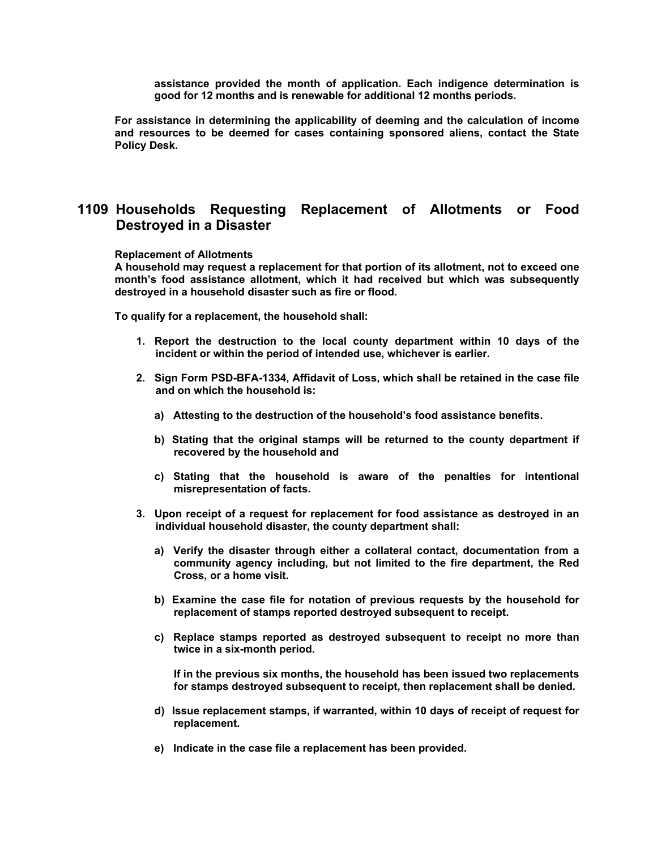**assistance provided the month of application. Each indigence determination is good for 12 months and is renewable for additional 12 months periods.** 

**For assistance in determining the applicability of deeming and the calculation of income and resources to be deemed for cases containing sponsored aliens, contact the State Policy Desk.** 

## **1109 Households Requesting Replacement of Allotments or Food Destroyed in a Disaster**

#### **Replacement of Allotments**

**A household may request a replacement for that portion of its allotment, not to exceed one month's food assistance allotment, which it had received but which was subsequently destroyed in a household disaster such as fire or flood.** 

**To qualify for a replacement, the household shall:** 

- **1. Report the destruction to the local county department within 10 days of the incident or within the period of intended use, whichever is earlier.**
- **2. Sign Form PSD-BFA-1334, Affidavit of Loss, which shall be retained in the case file and on which the household is:** 
	- **a) Attesting to the destruction of the household's food assistance benefits.**
	- **b) Stating that the original stamps will be returned to the county department if recovered by the household and**
	- **c) Stating that the household is aware of the penalties for intentional misrepresentation of facts.**
- **3. Upon receipt of a request for replacement for food assistance as destroyed in an individual household disaster, the county department shall:** 
	- **a) Verify the disaster through either a collateral contact, documentation from a community agency including, but not limited to the fire department, the Red Cross, or a home visit.**
	- **b) Examine the case file for notation of previous requests by the household for replacement of stamps reported destroyed subsequent to receipt.**
	- **c) Replace stamps reported as destroyed subsequent to receipt no more than twice in a six-month period.**

**If in the previous six months, the household has been issued two replacements for stamps destroyed subsequent to receipt, then replacement shall be denied.** 

- **d) Issue replacement stamps, if warranted, within 10 days of receipt of request for replacement.**
- **e) Indicate in the case file a replacement has been provided.**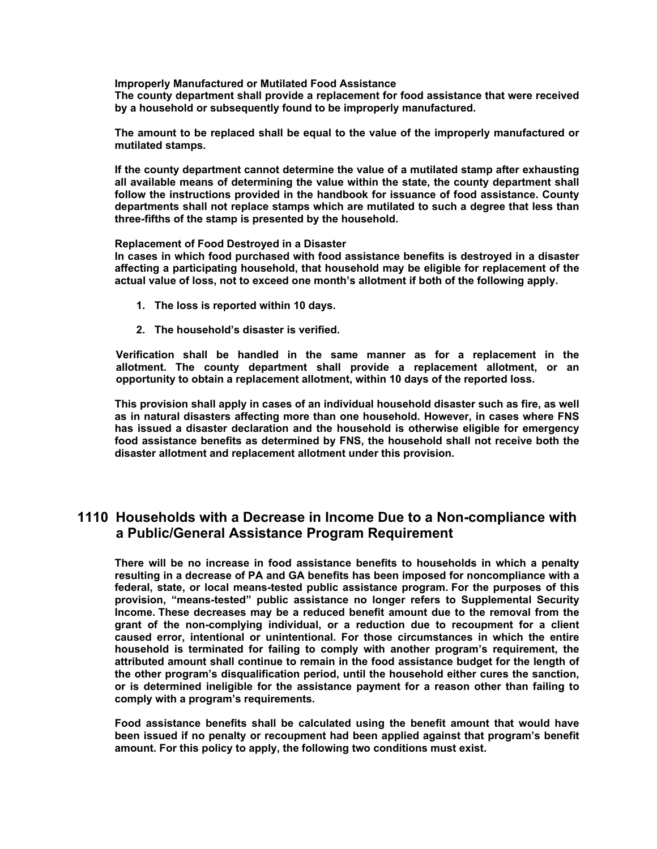**Improperly Manufactured or Mutilated Food Assistance** 

**The county department shall provide a replacement for food assistance that were received by a household or subsequently found to be improperly manufactured.** 

**The amount to be replaced shall be equal to the value of the improperly manufactured or mutilated stamps.** 

**If the county department cannot determine the value of a mutilated stamp after exhausting all available means of determining the value within the state, the county department shall follow the instructions provided in the handbook for issuance of food assistance. County departments shall not replace stamps which are mutilated to such a degree that less than three-fifths of the stamp is presented by the household.** 

#### **Replacement of Food Destroyed in a Disaster**

**In cases in which food purchased with food assistance benefits is destroyed in a disaster affecting a participating household, that household may be eligible for replacement of the actual value of loss, not to exceed one month's allotment if both of the following apply.** 

- **1. The loss is reported within 10 days.**
- **2. The household's disaster is verified.**

**Verification shall be handled in the same manner as for a replacement in the allotment. The county department shall provide a replacement allotment, or an opportunity to obtain a replacement allotment, within 10 days of the reported loss.** 

**This provision shall apply in cases of an individual household disaster such as fire, as well as in natural disasters affecting more than one household. However, in cases where FNS has issued a disaster declaration and the household is otherwise eligible for emergency food assistance benefits as determined by FNS, the household shall not receive both the disaster allotment and replacement allotment under this provision.** 

## **1110 Households with a Decrease in Income Due to a Non-compliance with a Public/General Assistance Program Requirement**

**There will be no increase in food assistance benefits to households in which a penalty resulting in a decrease of PA and GA benefits has been imposed for noncompliance with a federal, state, or local means-tested public assistance program. For the purposes of this provision, "means-tested" public assistance no longer refers to Supplemental Security Income. These decreases may be a reduced benefit amount due to the removal from the grant of the non-complying individual, or a reduction due to recoupment for a client caused error, intentional or unintentional. For those circumstances in which the entire household is terminated for failing to comply with another program's requirement, the attributed amount shall continue to remain in the food assistance budget for the length of the other program's disqualification period, until the household either cures the sanction, or is determined ineligible for the assistance payment for a reason other than failing to comply with a program's requirements.** 

**Food assistance benefits shall be calculated using the benefit amount that would have been issued if no penalty or recoupment had been applied against that program's benefit amount. For this policy to apply, the following two conditions must exist.**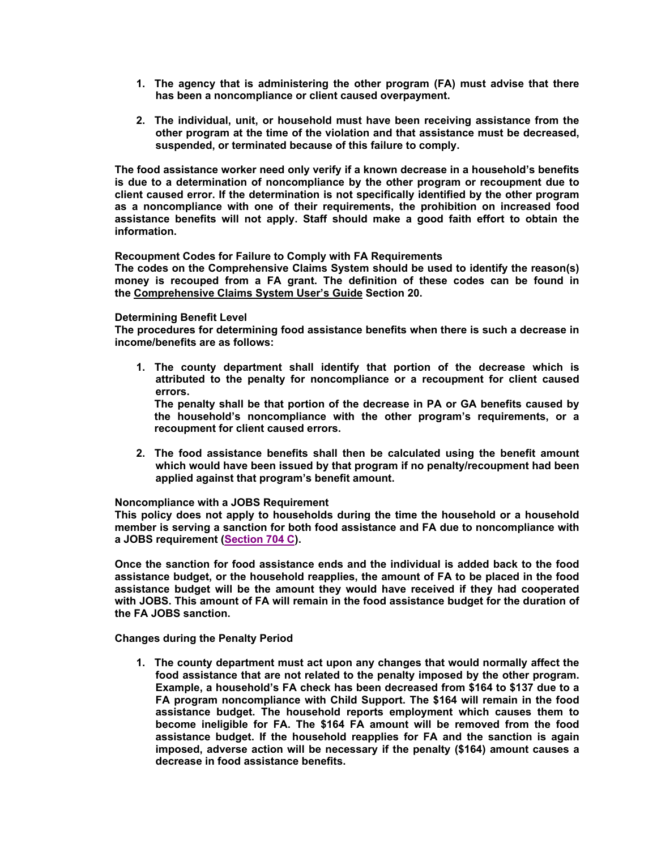- **1. The agency that is administering the other program (FA) must advise that there has been a noncompliance or client caused overpayment.**
- **2. The individual, unit, or household must have been receiving assistance from the other program at the time of the violation and that assistance must be decreased, suspended, or terminated because of this failure to comply.**

**The food assistance worker need only verify if a known decrease in a household's benefits is due to a determination of noncompliance by the other program or recoupment due to client caused error. If the determination is not specifically identified by the other program as a noncompliance with one of their requirements, the prohibition on increased food assistance benefits will not apply. Staff should make a good faith effort to obtain the information.** 

**Recoupment Codes for Failure to Comply with FA Requirements** 

**The codes on the Comprehensive Claims System should be used to identify the reason(s) money is recouped from a FA grant. The definition of these codes can be found in the Comprehensive Claims System User's Guide Section 20.** 

#### **Determining Benefit Level**

**The procedures for determining food assistance benefits when there is such a decrease in income/benefits are as follows:** 

**1. The county department shall identify that portion of the decrease which is attributed to the penalty for noncompliance or a recoupment for client caused errors.** 

**The penalty shall be that portion of the decrease in PA or GA benefits caused by the household's noncompliance with the other program's requirements, or a recoupment for client caused errors.** 

**2. The food assistance benefits shall then be calculated using the benefit amount which would have been issued by that program if no penalty/recoupment had been applied against that program's benefit amount.** 

#### **Noncompliance with a JOBS Requirement**

**This policy does not apply to households during the time the household or a household member is serving a sanction for both food assistance and FA due to noncompliance with a JOBS requirement (Section 704 C).** 

**Once the sanction for food assistance ends and the individual is added back to the food assistance budget, or the household reapplies, the amount of FA to be placed in the food assistance budget will be the amount they would have received if they had cooperated with JOBS. This amount of FA will remain in the food assistance budget for the duration of the FA JOBS sanction.** 

**Changes during the Penalty Period** 

**1. The county department must act upon any changes that would normally affect the food assistance that are not related to the penalty imposed by the other program. Example, a household's FA check has been decreased from \$164 to \$137 due to a FA program noncompliance with Child Support. The \$164 will remain in the food assistance budget. The household reports employment which causes them to become ineligible for FA. The \$164 FA amount will be removed from the food assistance budget. If the household reapplies for FA and the sanction is again imposed, adverse action will be necessary if the penalty (\$164) amount causes a decrease in food assistance benefits.**